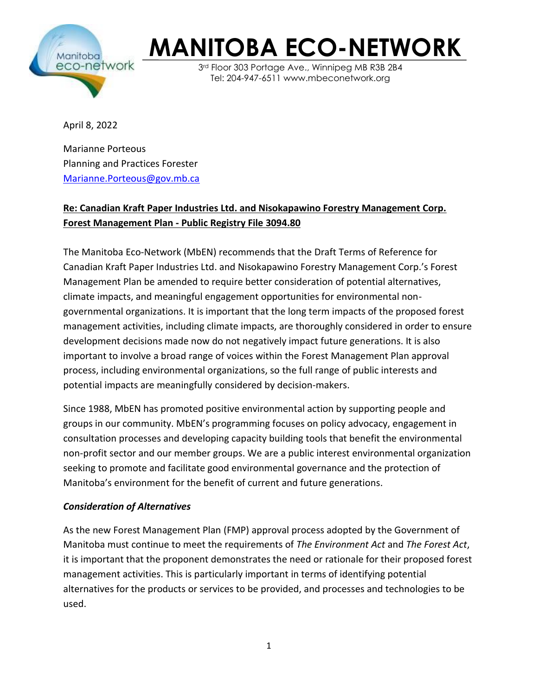

3rd Floor 303 Portage Ave., Winnipeg MB R3B 2B4 Tel: 204-947-6511 www.mbeconetwork.org

April 8, 2022

Marianne Porteous Planning and Practices Forester [Marianne.Porteous@gov.mb.ca](mailto:Marianne.Porteous@gov.mb.ca)

#### **Re: Canadian Kraft Paper Industries Ltd. and Nisokapawino Forestry Management Corp. Forest Management Plan - Public Registry File 3094.80**

The Manitoba Eco-Network (MbEN) recommends that the Draft Terms of Reference for Canadian Kraft Paper Industries Ltd. and Nisokapawino Forestry Management Corp.'s Forest Management Plan be amended to require better consideration of potential alternatives, climate impacts, and meaningful engagement opportunities for environmental nongovernmental organizations. It is important that the long term impacts of the proposed forest management activities, including climate impacts, are thoroughly considered in order to ensure development decisions made now do not negatively impact future generations. It is also important to involve a broad range of voices within the Forest Management Plan approval process, including environmental organizations, so the full range of public interests and potential impacts are meaningfully considered by decision-makers.

Since 1988, MbEN has promoted positive environmental action by supporting people and groups in our community. MbEN's programming focuses on policy advocacy, engagement in consultation processes and developing capacity building tools that benefit the environmental non-profit sector and our member groups. We are a public interest environmental organization seeking to promote and facilitate good environmental governance and the protection of Manitoba's environment for the benefit of current and future generations.

#### *Consideration of Alternatives*

As the new Forest Management Plan (FMP) approval process adopted by the Government of Manitoba must continue to meet the requirements of *The Environment Act* and *The Forest Act*, it is important that the proponent demonstrates the need or rationale for their proposed forest management activities. This is particularly important in terms of identifying potential alternatives for the products or services to be provided, and processes and technologies to be used.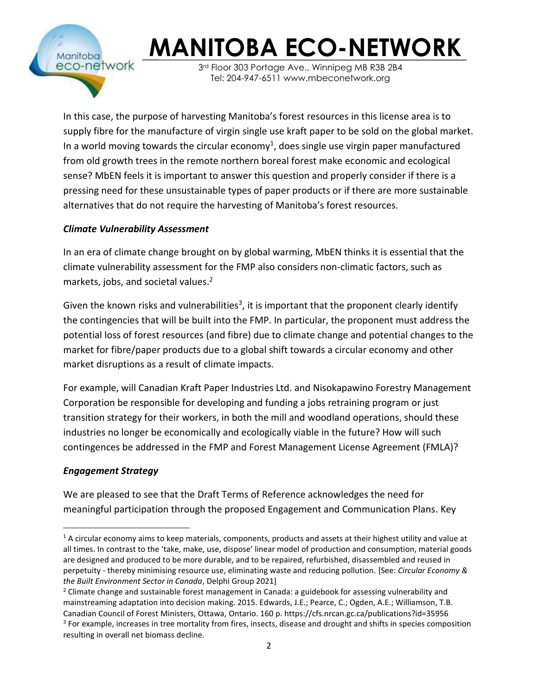

3rd Floor 303 Portage Ave., Winnipeg MB R3B 2B4 Tel: 204-947-6511 www.mbeconetwork.org

In this case, the purpose of harvesting Manitoba's forest resources in this license area is to supply fibre for the manufacture of virgin single use kraft paper to be sold on the global market. In a world moving towards the circular economy<sup>1</sup>, does single use virgin paper manufactured from old growth trees in the remote northern boreal forest make economic and ecological sense? MbEN feels it is important to answer this question and properly consider if there is a pressing need for these unsustainable types of paper products or if there are more sustainable alternatives that do not require the harvesting of Manitoba's forest resources.

#### *Climate Vulnerability Assessment*

In an era of climate change brought on by global warming, MbEN thinks it is essential that the climate vulnerability assessment for the FMP also considers non-climatic factors, such as markets, jobs, and societal values.<sup>2</sup>

Given the known risks and vulnerabilities<sup>3</sup>, it is important that the proponent clearly identify the contingencies that will be built into the FMP. In particular, the proponent must address the potential loss of forest resources (and fibre) due to climate change and potential changes to the market for fibre/paper products due to a global shift towards a circular economy and other market disruptions as a result of climate impacts.

For example, will Canadian Kraft Paper Industries Ltd. and Nisokapawino Forestry Management Corporation be responsible for developing and funding a jobs retraining program or just transition strategy for their workers, in both the mill and woodland operations, should these industries no longer be economically and ecologically viable in the future? How will such contingences be addressed in the FMP and Forest Management License Agreement (FMLA)?

#### *Engagement Strategy*

We are pleased to see that the Draft Terms of Reference acknowledges the need for meaningful participation through the proposed Engagement and Communication Plans. Key

 $1$  A circular economy aims to keep materials, components, products and assets at their highest utility and value at all times. In contrast to the 'take, make, use, dispose' linear model of production and consumption, material goods are designed and produced to be more durable, and to be repaired, refurbished, disassembled and reused in perpetuity - thereby minimising resource use, eliminating waste and reducing pollution. [See: *Circular Economy & the Built Environment Sector in Canada*, Delphi Group 2021]

<sup>&</sup>lt;sup>2</sup> Climate change and sustainable forest management in Canada: a guidebook for assessing vulnerability and mainstreaming adaptation into decision making. 2015. Edwards, J.E.; Pearce, C.; Ogden, A.E.; Williamson, T.B. Canadian Council of Forest Ministers, Ottawa, Ontario. 160 p. https://cfs.nrcan.gc.ca/publications?id=35956 <sup>3</sup> For example, increases in tree mortality from fires, insects, disease and drought and shifts in species composition resulting in overall net biomass decline.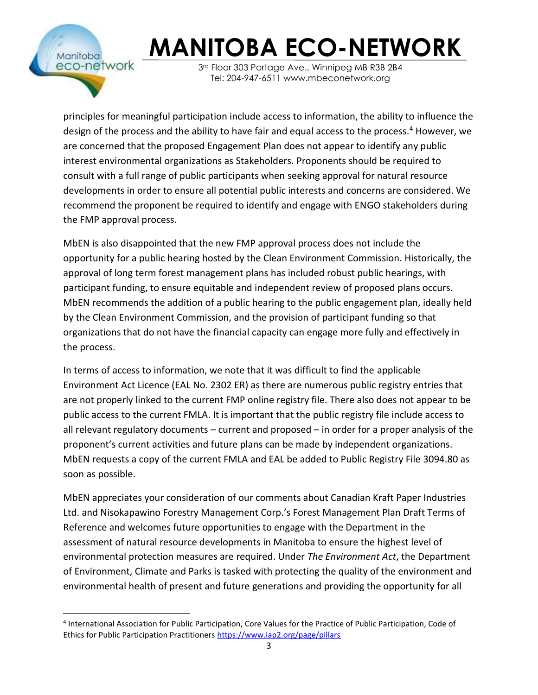

3rd Floor 303 Portage Ave., Winnipeg MB R3B 2B4 Tel: 204-947-6511 www.mbeconetwork.org

principles for meaningful participation include access to information, the ability to influence the design of the process and the ability to have fair and equal access to the process.<sup>4</sup> However, we are concerned that the proposed Engagement Plan does not appear to identify any public interest environmental organizations as Stakeholders. Proponents should be required to consult with a full range of public participants when seeking approval for natural resource developments in order to ensure all potential public interests and concerns are considered. We recommend the proponent be required to identify and engage with ENGO stakeholders during the FMP approval process.

MbEN is also disappointed that the new FMP approval process does not include the opportunity for a public hearing hosted by the Clean Environment Commission. Historically, the approval of long term forest management plans has included robust public hearings, with participant funding, to ensure equitable and independent review of proposed plans occurs. MbEN recommends the addition of a public hearing to the public engagement plan, ideally held by the Clean Environment Commission, and the provision of participant funding so that organizations that do not have the financial capacity can engage more fully and effectively in the process.

In terms of access to information, we note that it was difficult to find the applicable Environment Act Licence (EAL No. 2302 ER) as there are numerous public registry entries that are not properly linked to the current FMP online registry file. There also does not appear to be public access to the current FMLA. It is important that the public registry file include access to all relevant regulatory documents – current and proposed – in order for a proper analysis of the proponent's current activities and future plans can be made by independent organizations. MbEN requests a copy of the current FMLA and EAL be added to Public Registry File 3094.80 as soon as possible.

MbEN appreciates your consideration of our comments about Canadian Kraft Paper Industries Ltd. and Nisokapawino Forestry Management Corp.'s Forest Management Plan Draft Terms of Reference and welcomes future opportunities to engage with the Department in the assessment of natural resource developments in Manitoba to ensure the highest level of environmental protection measures are required. Under *The Environment Act*, the Department of Environment, Climate and Parks is tasked with protecting the quality of the environment and environmental health of present and future generations and providing the opportunity for all

<sup>4</sup> International Association for Public Participation, Core Values for the Practice of Public Participation, Code of Ethics for Public Participation Practitioners<https://www.iap2.org/page/pillars>